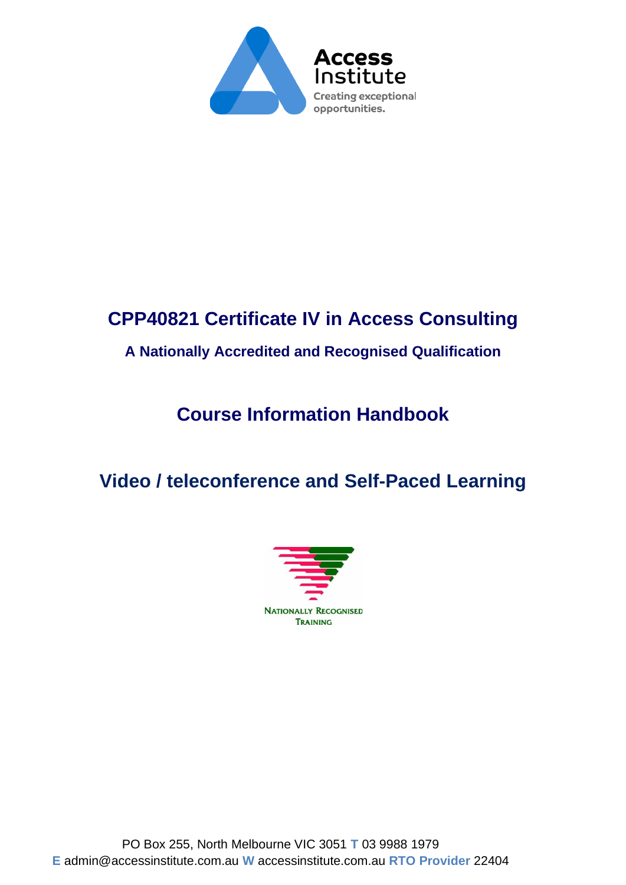

# **CPP40821 Certificate IV in Access Consulting**

### **A Nationally Accredited and Recognised Qualification**

# **Course Information Handbook**

# **Video / teleconference and Self-Paced Learning**

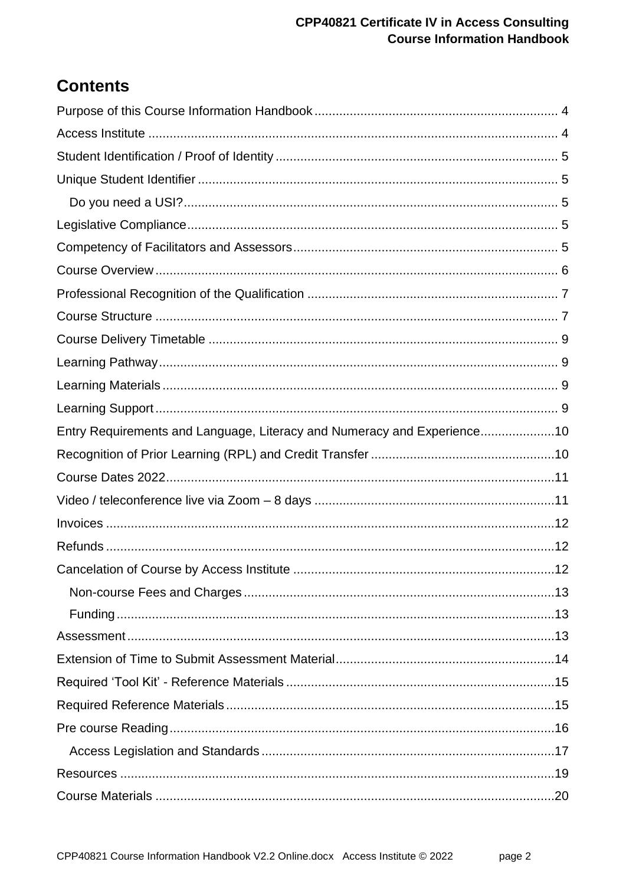#### **CPP40821 Certificate IV in Access Consulting Course Information Handbook**

## **Contents**

| Entry Requirements and Language, Literacy and Numeracy and Experience10 |  |
|-------------------------------------------------------------------------|--|
|                                                                         |  |
|                                                                         |  |
|                                                                         |  |
|                                                                         |  |
|                                                                         |  |
|                                                                         |  |
|                                                                         |  |
|                                                                         |  |
|                                                                         |  |
|                                                                         |  |
|                                                                         |  |
|                                                                         |  |
|                                                                         |  |
|                                                                         |  |
|                                                                         |  |
|                                                                         |  |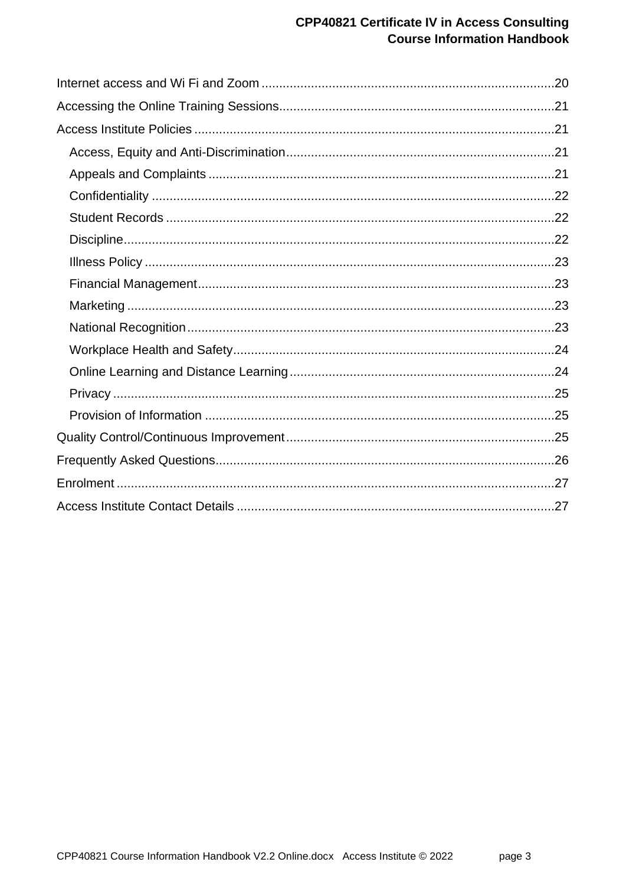#### **CPP40821 Certificate IV in Access Consulting Course Information Handbook**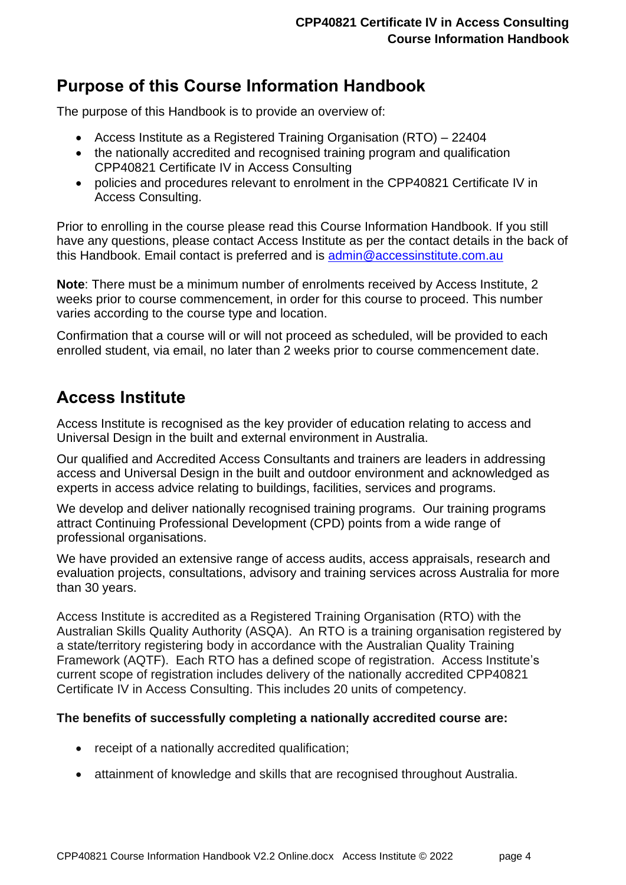## <span id="page-3-0"></span>**Purpose of this Course Information Handbook**

The purpose of this Handbook is to provide an overview of:

- Access Institute as a Registered Training Organisation (RTO) 22404
- the nationally accredited and recognised training program and qualification CPP40821 Certificate IV in Access Consulting
- policies and procedures relevant to enrolment in the CPP40821 Certificate IV in Access Consulting.

Prior to enrolling in the course please read this Course Information Handbook. If you still have any questions, please contact Access Institute as per the contact details in the back of this Handbook. Email contact is preferred and is [admin@accessinstitute.com.au](mailto:admin@accessinstitute.com.au)

**Note**: There must be a minimum number of enrolments received by Access Institute, 2 weeks prior to course commencement, in order for this course to proceed. This number varies according to the course type and location.

Confirmation that a course will or will not proceed as scheduled, will be provided to each enrolled student, via email, no later than 2 weeks prior to course commencement date.

### <span id="page-3-1"></span>**Access Institute**

Access Institute is recognised as the key provider of education relating to access and Universal Design in the built and external environment in Australia.

Our qualified and Accredited Access Consultants and trainers are leaders in addressing access and Universal Design in the built and outdoor environment and acknowledged as experts in access advice relating to buildings, facilities, services and programs.

We develop and deliver nationally recognised training programs. Our training programs attract Continuing Professional Development (CPD) points from a wide range of professional organisations.

We have provided an extensive range of access audits, access appraisals, research and evaluation projects, consultations, advisory and training services across Australia for more than 30 years.

Access Institute is accredited as a Registered Training Organisation (RTO) with the Australian Skills Quality Authority (ASQA). An RTO is a training organisation registered by a state/territory registering body in accordance with the Australian Quality Training Framework (AQTF). Each RTO has a defined scope of registration. Access Institute's current scope of registration includes delivery of the nationally accredited CPP40821 Certificate IV in Access Consulting. This includes 20 units of competency.

#### **The benefits of successfully completing a nationally accredited course are:**

- receipt of a nationally accredited qualification;
- attainment of knowledge and skills that are recognised throughout Australia.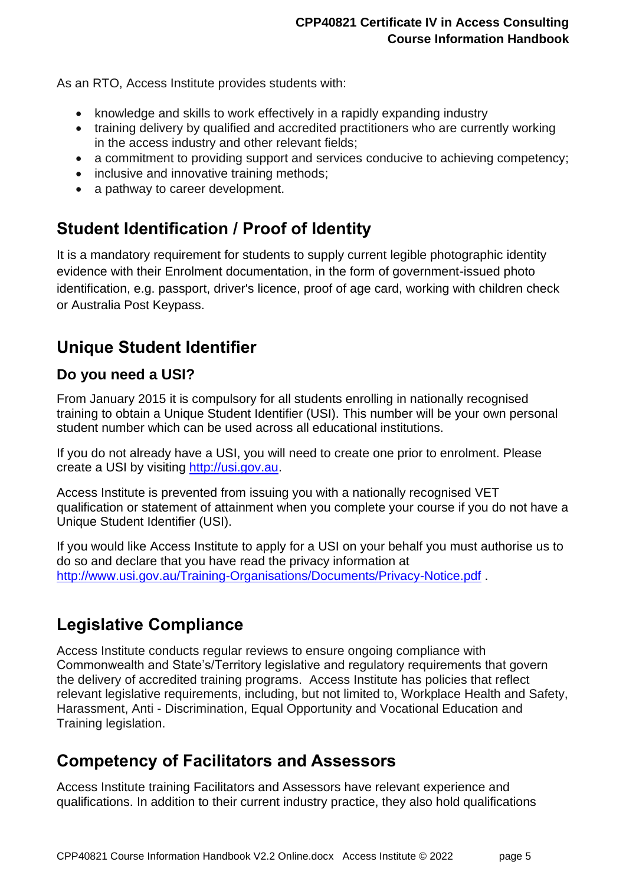As an RTO, Access Institute provides students with:

- knowledge and skills to work effectively in a rapidly expanding industry
- training delivery by qualified and accredited practitioners who are currently working in the access industry and other relevant fields;
- a commitment to providing support and services conducive to achieving competency:
- inclusive and innovative training methods;
- a pathway to career development.

## <span id="page-4-0"></span>**Student Identification / Proof of Identity**

It is a mandatory requirement for students to supply current legible photographic identity evidence with their Enrolment documentation, in the form of government-issued photo identification, e.g. passport, driver's licence, proof of age card, working with children check or Australia Post Keypass.

## <span id="page-4-1"></span>**Unique Student Identifier**

### <span id="page-4-2"></span>**Do you need a USI?**

From January 2015 it is compulsory for all students enrolling in nationally recognised training to obtain a Unique Student Identifier (USI). This number will be your own personal student number which can be used across all educational institutions.

If you do not already have a USI, you will need to create one prior to enrolment. Please create a USI by visiting [http://usi.gov.au.](http://usi.gov.au/Students/Pages/default.aspx)

Access Institute is prevented from issuing you with a nationally recognised VET qualification or statement of attainment when you complete your course if you do not have a Unique Student Identifier (USI).

If you would like Access Institute to apply for a USI on your behalf you must authorise us to do so and declare that you have read the privacy information at <http://www.usi.gov.au/Training-Organisations/Documents/Privacy-Notice.pdf>.

## <span id="page-4-3"></span>**Legislative Compliance**

Access Institute conducts regular reviews to ensure ongoing compliance with Commonwealth and State's/Territory legislative and regulatory requirements that govern the delivery of accredited training programs. Access Institute has policies that reflect relevant legislative requirements, including, but not limited to, Workplace Health and Safety, Harassment, Anti - Discrimination, Equal Opportunity and Vocational Education and Training legislation.

## <span id="page-4-4"></span>**Competency of Facilitators and Assessors**

Access Institute training Facilitators and Assessors have relevant experience and qualifications. In addition to their current industry practice, they also hold qualifications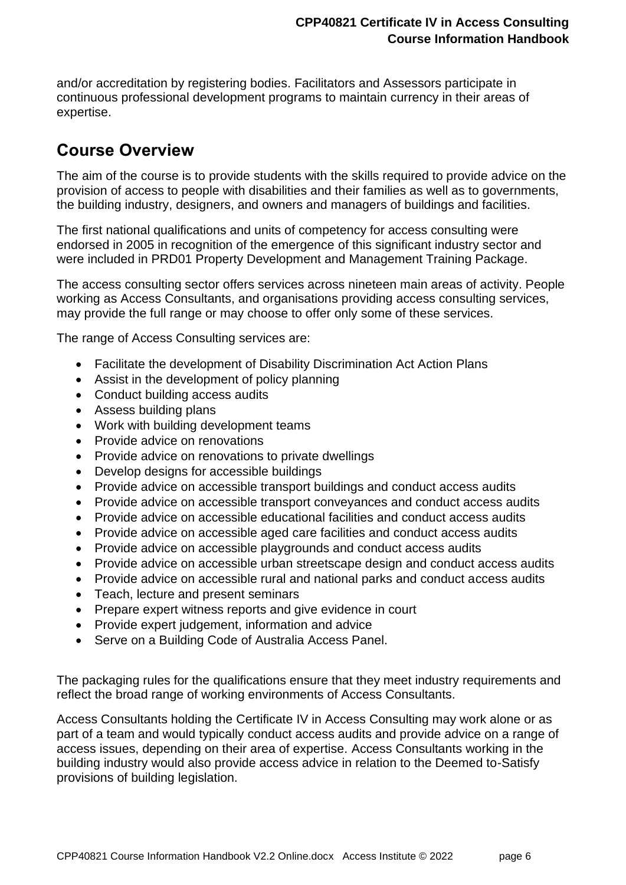and/or accreditation by registering bodies. Facilitators and Assessors participate in continuous professional development programs to maintain currency in their areas of expertise.

## <span id="page-5-0"></span>**Course Overview**

The aim of the course is to provide students with the skills required to provide advice on the provision of access to people with disabilities and their families as well as to governments, the building industry, designers, and owners and managers of buildings and facilities.

The first national qualifications and units of competency for access consulting were endorsed in 2005 in recognition of the emergence of this significant industry sector and were included in PRD01 Property Development and Management Training Package.

The access consulting sector offers services across nineteen main areas of activity. People working as Access Consultants, and organisations providing access consulting services, may provide the full range or may choose to offer only some of these services.

The range of Access Consulting services are:

- Facilitate the development of Disability Discrimination Act Action Plans
- Assist in the development of policy planning
- Conduct building access audits
- Assess building plans
- Work with building development teams
- Provide advice on renovations
- Provide advice on renovations to private dwellings
- Develop designs for accessible buildings
- Provide advice on accessible transport buildings and conduct access audits
- Provide advice on accessible transport conveyances and conduct access audits
- Provide advice on accessible educational facilities and conduct access audits
- Provide advice on accessible aged care facilities and conduct access audits
- Provide advice on accessible playgrounds and conduct access audits
- Provide advice on accessible urban streetscape design and conduct access audits
- Provide advice on accessible rural and national parks and conduct access audits
- Teach, lecture and present seminars
- Prepare expert witness reports and give evidence in court
- Provide expert judgement, information and advice
- Serve on a Building Code of Australia Access Panel.

The packaging rules for the qualifications ensure that they meet industry requirements and reflect the broad range of working environments of Access Consultants.

Access Consultants holding the Certificate IV in Access Consulting may work alone or as part of a team and would typically conduct access audits and provide advice on a range of access issues, depending on their area of expertise. Access Consultants working in the building industry would also provide access advice in relation to the Deemed to-Satisfy provisions of building legislation.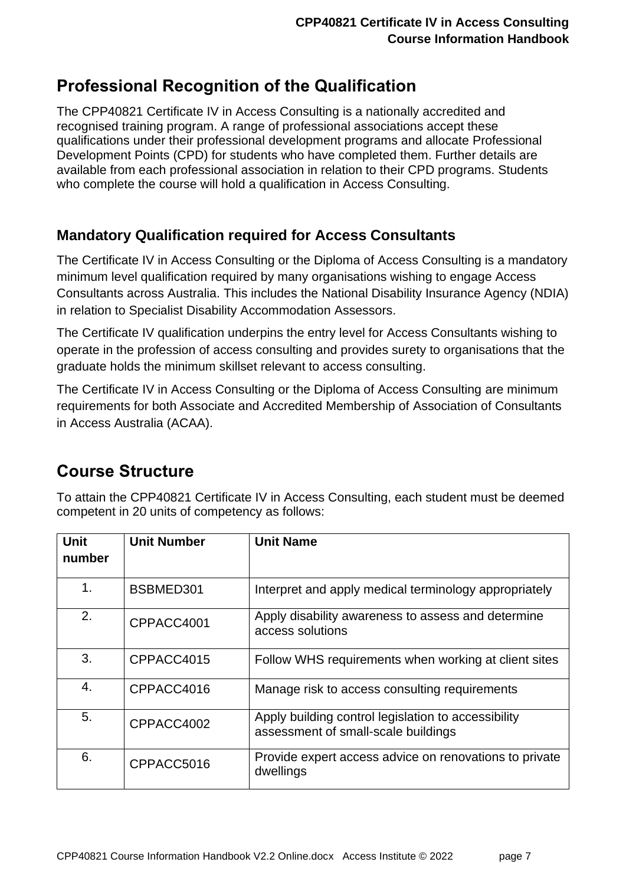## <span id="page-6-0"></span>**Professional Recognition of the Qualification**

The CPP40821 Certificate IV in Access Consulting is a nationally accredited and recognised training program. A range of professional associations accept these qualifications under their professional development programs and allocate Professional Development Points (CPD) for students who have completed them. Further details are available from each professional association in relation to their CPD programs. Students who complete the course will hold a qualification in Access Consulting.

### **Mandatory Qualification required for Access Consultants**

The Certificate IV in Access Consulting or the Diploma of Access Consulting is a mandatory minimum level qualification required by many organisations wishing to engage Access Consultants across Australia. This includes the National Disability Insurance Agency (NDIA) in relation to Specialist Disability Accommodation Assessors.

The Certificate IV qualification underpins the entry level for Access Consultants wishing to operate in the profession of access consulting and provides surety to organisations that the graduate holds the minimum skillset relevant to access consulting.

The Certificate IV in Access Consulting or the Diploma of Access Consulting are minimum requirements for both Associate and Accredited Membership of Association of Consultants in Access Australia (ACAA).

## <span id="page-6-1"></span>**Course Structure**

To attain the CPP40821 Certificate IV in Access Consulting, each student must be deemed competent in 20 units of competency as follows:

| <b>Unit</b><br>number | <b>Unit Number</b> | <b>Unit Name</b>                                                                           |
|-----------------------|--------------------|--------------------------------------------------------------------------------------------|
| 1.                    | BSBMED301          | Interpret and apply medical terminology appropriately                                      |
| 2.                    | CPPACC4001         | Apply disability awareness to assess and determine<br>access solutions                     |
| 3.                    | CPPACC4015         | Follow WHS requirements when working at client sites                                       |
| 4.                    | CPPACC4016         | Manage risk to access consulting requirements                                              |
| 5.                    | CPPACC4002         | Apply building control legislation to accessibility<br>assessment of small-scale buildings |
| 6.                    | CPPACC5016         | Provide expert access advice on renovations to private<br>dwellings                        |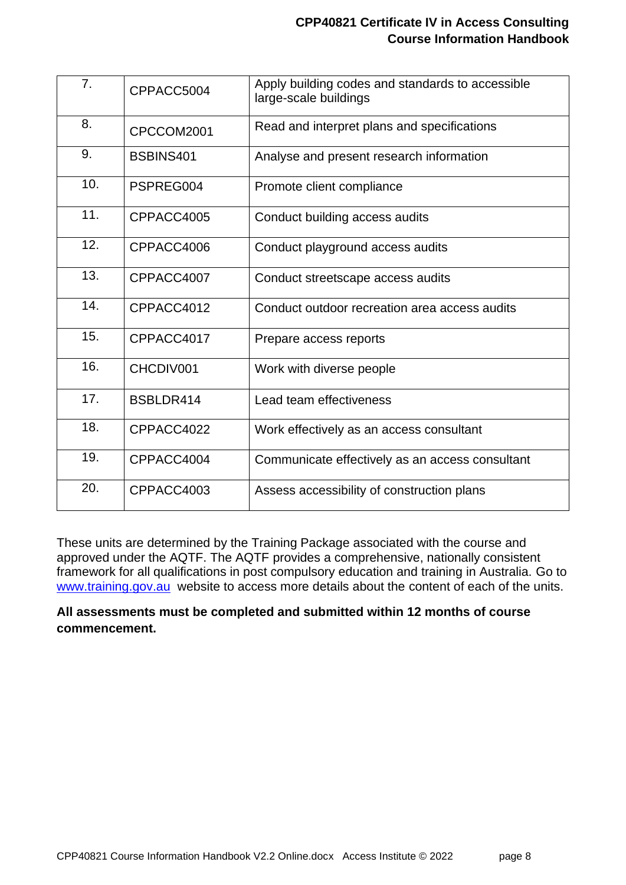#### **CPP40821 Certificate IV in Access Consulting Course Information Handbook**

| 7.  | CPPACC5004 | Apply building codes and standards to accessible<br>large-scale buildings |
|-----|------------|---------------------------------------------------------------------------|
| 8.  | CPCCOM2001 | Read and interpret plans and specifications                               |
| 9.  | BSBINS401  | Analyse and present research information                                  |
| 10. | PSPREG004  | Promote client compliance                                                 |
| 11. | CPPACC4005 | Conduct building access audits                                            |
| 12. | CPPACC4006 | Conduct playground access audits                                          |
| 13. | CPPACC4007 | Conduct streetscape access audits                                         |
| 14. | CPPACC4012 | Conduct outdoor recreation area access audits                             |
| 15. | CPPACC4017 | Prepare access reports                                                    |
| 16. | CHCDIV001  | Work with diverse people                                                  |
| 17. | BSBLDR414  | Lead team effectiveness                                                   |
| 18. | CPPACC4022 | Work effectively as an access consultant                                  |
| 19. | CPPACC4004 | Communicate effectively as an access consultant                           |
| 20. | CPPACC4003 | Assess accessibility of construction plans                                |

These units are determined by the Training Package associated with the course and approved under the AQTF. The AQTF provides a comprehensive, nationally consistent framework for all qualifications in post compulsory education and training in Australia. Go to [www.training.gov.au](http://www.training.gov.au/) website to access more details about the content of each of the units.

#### **All assessments must be completed and submitted within 12 months of course commencement.**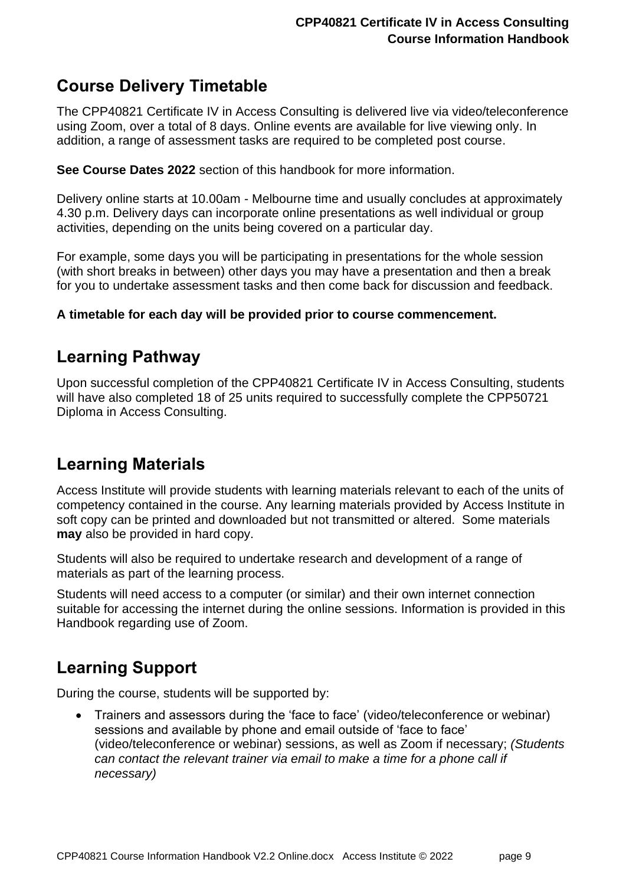## <span id="page-8-0"></span>**Course Delivery Timetable**

The CPP40821 Certificate IV in Access Consulting is delivered live via video/teleconference using Zoom, over a total of 8 days. Online events are available for live viewing only. In addition, a range of assessment tasks are required to be completed post course.

**See Course Dates 2022** section of this handbook for more information.

Delivery online starts at 10.00am - Melbourne time and usually concludes at approximately 4.30 p.m. Delivery days can incorporate online presentations as well individual or group activities, depending on the units being covered on a particular day.

For example, some days you will be participating in presentations for the whole session (with short breaks in between) other days you may have a presentation and then a break for you to undertake assessment tasks and then come back for discussion and feedback.

#### **A timetable for each day will be provided prior to course commencement.**

### <span id="page-8-1"></span>**Learning Pathway**

Upon successful completion of the CPP40821 Certificate IV in Access Consulting, students will have also completed 18 of 25 units required to successfully complete the CPP50721 Diploma in Access Consulting.

## <span id="page-8-2"></span>**Learning Materials**

Access Institute will provide students with learning materials relevant to each of the units of competency contained in the course. Any learning materials provided by Access Institute in soft copy can be printed and downloaded but not transmitted or altered. Some materials **may** also be provided in hard copy.

Students will also be required to undertake research and development of a range of materials as part of the learning process.

Students will need access to a computer (or similar) and their own internet connection suitable for accessing the internet during the online sessions. Information is provided in this Handbook regarding use of Zoom.

## <span id="page-8-3"></span>**Learning Support**

During the course, students will be supported by:

• Trainers and assessors during the 'face to face' (video/teleconference or webinar) sessions and available by phone and email outside of 'face to face' (video/teleconference or webinar) sessions, as well as Zoom if necessary; *(Students can contact the relevant trainer via email to make a time for a phone call if necessary)*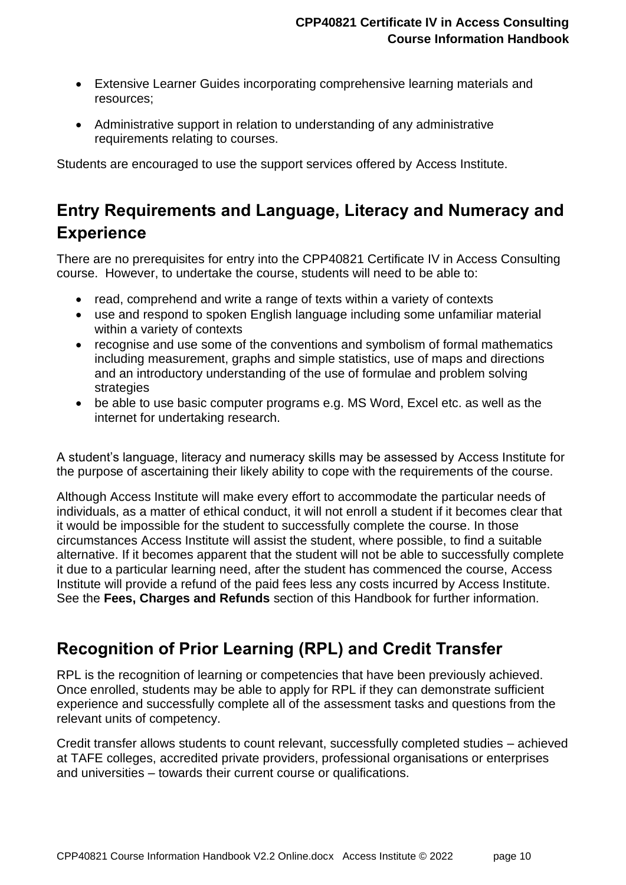- Extensive Learner Guides incorporating comprehensive learning materials and resources;
- Administrative support in relation to understanding of any administrative requirements relating to courses.

Students are encouraged to use the support services offered by Access Institute.

## <span id="page-9-0"></span>**Entry Requirements and Language, Literacy and Numeracy and Experience**

There are no prerequisites for entry into the CPP40821 Certificate IV in Access Consulting course. However, to undertake the course, students will need to be able to:

- read, comprehend and write a range of texts within a variety of contexts
- use and respond to spoken English language including some unfamiliar material within a variety of contexts
- recognise and use some of the conventions and symbolism of formal mathematics including measurement, graphs and simple statistics, use of maps and directions and an introductory understanding of the use of formulae and problem solving **strategies**
- be able to use basic computer programs e.g. MS Word, Excel etc. as well as the internet for undertaking research.

A student's language, literacy and numeracy skills may be assessed by Access Institute for the purpose of ascertaining their likely ability to cope with the requirements of the course.

Although Access Institute will make every effort to accommodate the particular needs of individuals, as a matter of ethical conduct, it will not enroll a student if it becomes clear that it would be impossible for the student to successfully complete the course. In those circumstances Access Institute will assist the student, where possible, to find a suitable alternative. If it becomes apparent that the student will not be able to successfully complete it due to a particular learning need, after the student has commenced the course, Access Institute will provide a refund of the paid fees less any costs incurred by Access Institute. See the **Fees, Charges and Refunds** section of this Handbook for further information.

## <span id="page-9-1"></span>**Recognition of Prior Learning (RPL) and Credit Transfer**

RPL is the recognition of learning or competencies that have been previously achieved. Once enrolled, students may be able to apply for RPL if they can demonstrate sufficient experience and successfully complete all of the assessment tasks and questions from the relevant units of competency.

Credit transfer allows students to count relevant, successfully completed studies – achieved at TAFE colleges, accredited private providers, professional organisations or enterprises and universities – towards their current course or qualifications.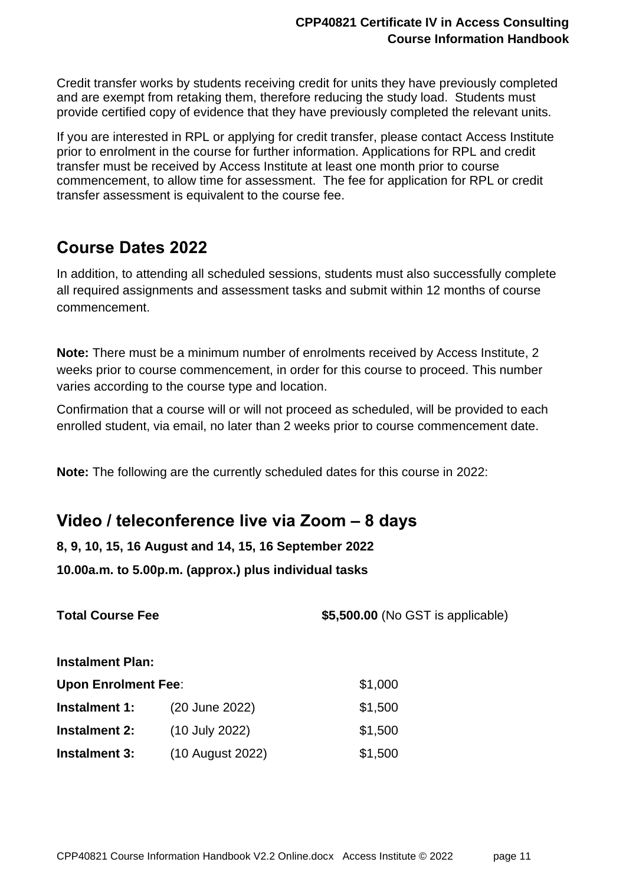Credit transfer works by students receiving credit for units they have previously completed and are exempt from retaking them, therefore reducing the study load. Students must provide certified copy of evidence that they have previously completed the relevant units.

If you are interested in RPL or applying for credit transfer, please contact Access Institute prior to enrolment in the course for further information. Applications for RPL and credit transfer must be received by Access Institute at least one month prior to course commencement, to allow time for assessment. The fee for application for RPL or credit transfer assessment is equivalent to the course fee.

### <span id="page-10-0"></span>**Course Dates 2022**

In addition, to attending all scheduled sessions, students must also successfully complete all required assignments and assessment tasks and submit within 12 months of course commencement.

**Note:** There must be a minimum number of enrolments received by Access Institute, 2 weeks prior to course commencement, in order for this course to proceed. This number varies according to the course type and location.

Confirmation that a course will or will not proceed as scheduled, will be provided to each enrolled student, via email, no later than 2 weeks prior to course commencement date.

**Note:** The following are the currently scheduled dates for this course in 2022:

### <span id="page-10-1"></span>**Video / teleconference live via Zoom – 8 days**

**8, 9, 10, 15, 16 August and 14, 15, 16 September 2022**

**10.00a.m. to 5.00p.m. (approx.) plus individual tasks**

**Total Course Fee \$5,500.00** (No GST is applicable) **Instalment Plan: Upon Enrolment Fee:** \$1,000 **Instalment 1:** (20 June 2022) \$1,500 **Instalment 2:** (10 July 2022) \$1,500 **Instalment 3:** (10 August 2022) \$1,500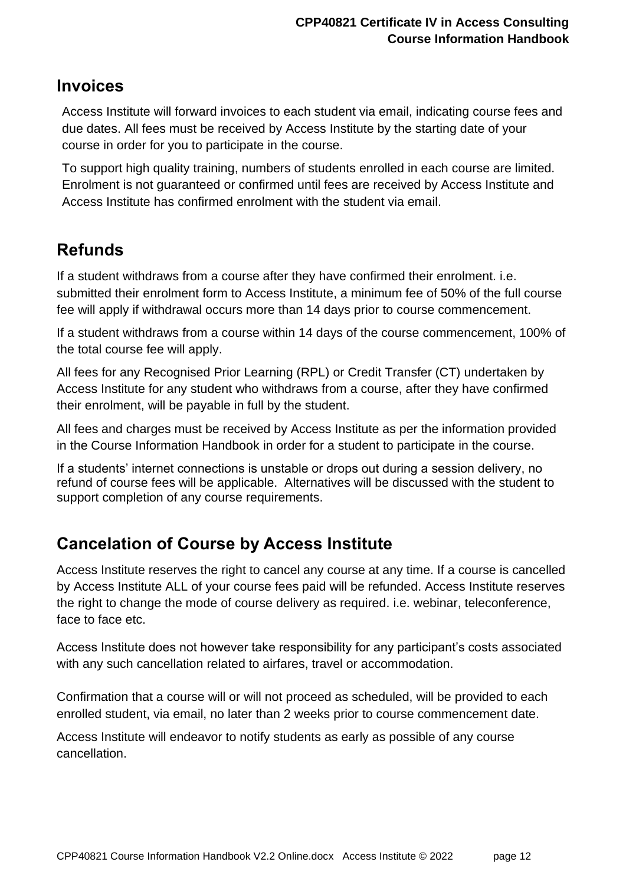### <span id="page-11-0"></span>**Invoices**

Access Institute will forward invoices to each student via email, indicating course fees and due dates. All fees must be received by Access Institute by the starting date of your course in order for you to participate in the course.

To support high quality training, numbers of students enrolled in each course are limited. Enrolment is not guaranteed or confirmed until fees are received by Access Institute and Access Institute has confirmed enrolment with the student via email.

## <span id="page-11-1"></span>**Refunds**

If a student withdraws from a course after they have confirmed their enrolment. i.e. submitted their enrolment form to Access Institute, a minimum fee of 50% of the full course fee will apply if withdrawal occurs more than 14 days prior to course commencement.

If a student withdraws from a course within 14 days of the course commencement, 100% of the total course fee will apply.

All fees for any Recognised Prior Learning (RPL) or Credit Transfer (CT) undertaken by Access Institute for any student who withdraws from a course, after they have confirmed their enrolment, will be payable in full by the student.

All fees and charges must be received by Access Institute as per the information provided in the Course Information Handbook in order for a student to participate in the course.

If a students' internet connections is unstable or drops out during a session delivery, no refund of course fees will be applicable. Alternatives will be discussed with the student to support completion of any course requirements.

## <span id="page-11-2"></span>**Cancelation of Course by Access Institute**

Access Institute reserves the right to cancel any course at any time. If a course is cancelled by Access Institute ALL of your course fees paid will be refunded. Access Institute reserves the right to change the mode of course delivery as required. i.e. webinar, teleconference, face to face etc.

Access Institute does not however take responsibility for any participant's costs associated with any such cancellation related to airfares, travel or accommodation.

Confirmation that a course will or will not proceed as scheduled, will be provided to each enrolled student, via email, no later than 2 weeks prior to course commencement date.

Access Institute will endeavor to notify students as early as possible of any course cancellation.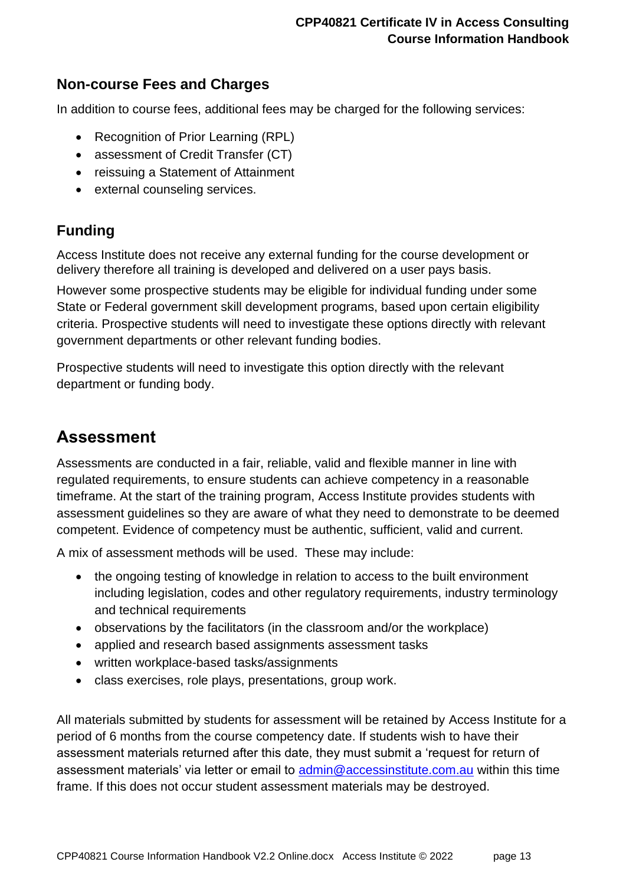#### <span id="page-12-0"></span>**Non-course Fees and Charges**

In addition to course fees, additional fees may be charged for the following services:

- Recognition of Prior Learning (RPL)
- assessment of Credit Transfer (CT)
- reissuing a Statement of Attainment
- external counseling services.

### <span id="page-12-1"></span>**Funding**

Access Institute does not receive any external funding for the course development or delivery therefore all training is developed and delivered on a user pays basis.

However some prospective students may be eligible for individual funding under some State or Federal government skill development programs, based upon certain eligibility criteria. Prospective students will need to investigate these options directly with relevant government departments or other relevant funding bodies.

Prospective students will need to investigate this option directly with the relevant department or funding body.

### <span id="page-12-2"></span>**Assessment**

Assessments are conducted in a fair, reliable, valid and flexible manner in line with regulated requirements, to ensure students can achieve competency in a reasonable timeframe. At the start of the training program, Access Institute provides students with assessment guidelines so they are aware of what they need to demonstrate to be deemed competent. Evidence of competency must be authentic, sufficient, valid and current.

A mix of assessment methods will be used. These may include:

- the ongoing testing of knowledge in relation to access to the built environment including legislation, codes and other regulatory requirements, industry terminology and technical requirements
- observations by the facilitators (in the classroom and/or the workplace)
- applied and research based assignments assessment tasks
- written workplace-based tasks/assignments
- class exercises, role plays, presentations, group work.

All materials submitted by students for assessment will be retained by Access Institute for a period of 6 months from the course competency date. If students wish to have their assessment materials returned after this date, they must submit a 'request for return of assessment materials' via letter or email to [admin@accessinstitute.com.au](mailto:admin@accessinstitute.com.au) within this time frame. If this does not occur student assessment materials may be destroyed.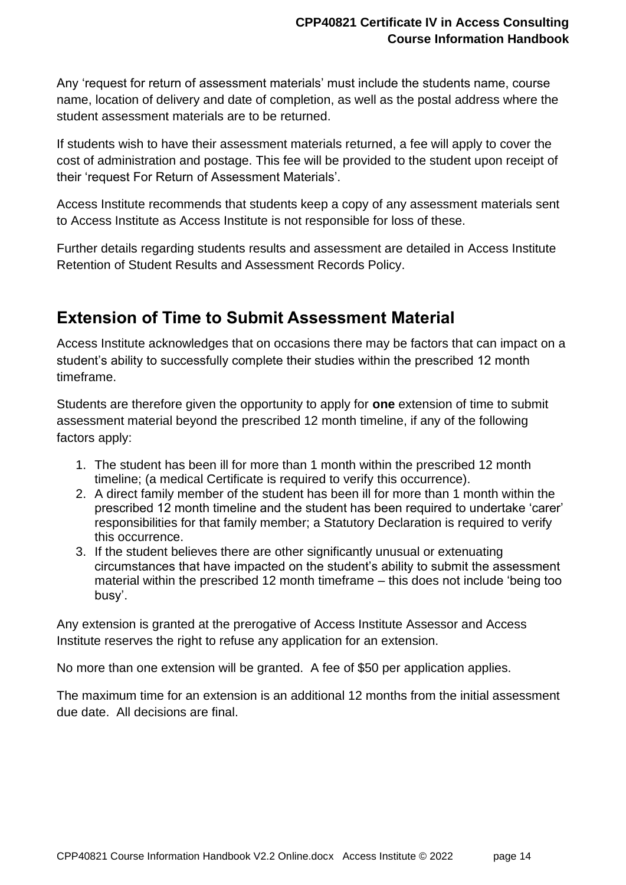Any 'request for return of assessment materials' must include the students name, course name, location of delivery and date of completion, as well as the postal address where the student assessment materials are to be returned.

If students wish to have their assessment materials returned, a fee will apply to cover the cost of administration and postage. This fee will be provided to the student upon receipt of their 'request For Return of Assessment Materials'.

Access Institute recommends that students keep a copy of any assessment materials sent to Access Institute as Access Institute is not responsible for loss of these.

Further details regarding students results and assessment are detailed in Access Institute Retention of Student Results and Assessment Records Policy.

## <span id="page-13-0"></span>**Extension of Time to Submit Assessment Material**

Access Institute acknowledges that on occasions there may be factors that can impact on a student's ability to successfully complete their studies within the prescribed 12 month timeframe.

Students are therefore given the opportunity to apply for **one** extension of time to submit assessment material beyond the prescribed 12 month timeline, if any of the following factors apply:

- 1. The student has been ill for more than 1 month within the prescribed 12 month timeline; (a medical Certificate is required to verify this occurrence).
- 2. A direct family member of the student has been ill for more than 1 month within the prescribed 12 month timeline and the student has been required to undertake 'carer' responsibilities for that family member; a Statutory Declaration is required to verify this occurrence.
- 3. If the student believes there are other significantly unusual or extenuating circumstances that have impacted on the student's ability to submit the assessment material within the prescribed 12 month timeframe – this does not include 'being too busy'.

Any extension is granted at the prerogative of Access Institute Assessor and Access Institute reserves the right to refuse any application for an extension.

No more than one extension will be granted. A fee of \$50 per application applies.

The maximum time for an extension is an additional 12 months from the initial assessment due date. All decisions are final.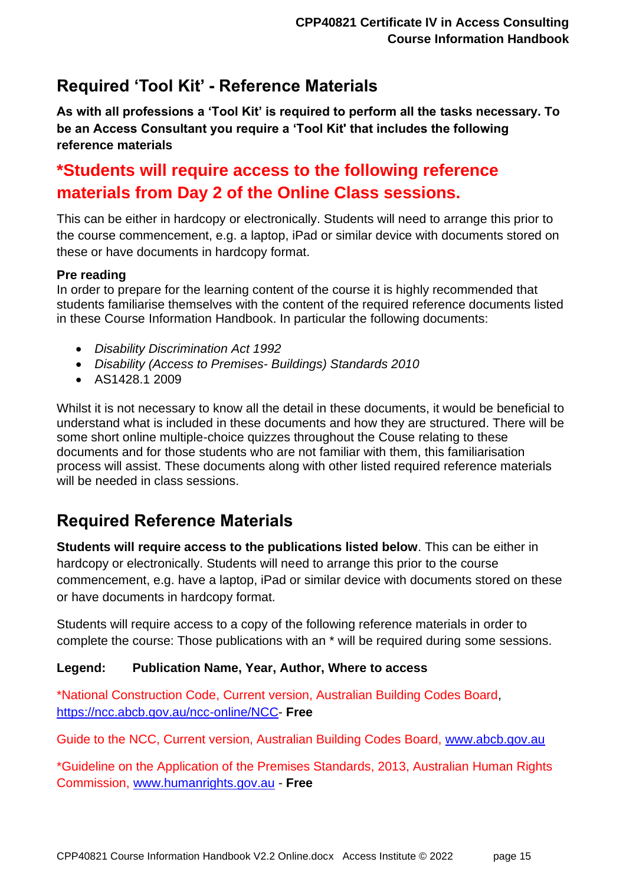## <span id="page-14-0"></span>**Required 'Tool Kit' - Reference Materials**

**As with all professions a 'Tool Kit' is required to perform all the tasks necessary. To be an Access Consultant you require a 'Tool Kit' that includes the following reference materials**

## **\*Students will require access to the following reference materials from Day 2 of the Online Class sessions.**

This can be either in hardcopy or electronically. Students will need to arrange this prior to the course commencement, e.g. a laptop, iPad or similar device with documents stored on these or have documents in hardcopy format.

#### **Pre reading**

In order to prepare for the learning content of the course it is highly recommended that students familiarise themselves with the content of the required reference documents listed in these Course Information Handbook. In particular the following documents:

- *Disability Discrimination Act 1992*
- *Disability (Access to Premises- Buildings) Standards 2010*
- AS1428.1 2009

Whilst it is not necessary to know all the detail in these documents, it would be beneficial to understand what is included in these documents and how they are structured. There will be some short online multiple-choice quizzes throughout the Couse relating to these documents and for those students who are not familiar with them, this familiarisation process will assist. These documents along with other listed required reference materials will be needed in class sessions.

## <span id="page-14-1"></span>**Required Reference Materials**

**Students will require access to the publications listed below**. This can be either in hardcopy or electronically. Students will need to arrange this prior to the course commencement, e.g. have a laptop, iPad or similar device with documents stored on these or have documents in hardcopy format.

Students will require access to a copy of the following reference materials in order to complete the course: Those publications with an \* will be required during some sessions.

#### **Legend: Publication Name, Year, Author, Where to access**

\*National Construction Code, Current version, Australian Building Codes Board, [https://ncc.abcb.gov.au/ncc-online/NCC-](https://ncc.abcb.gov.au/ncc-online/NCC) **Free**

Guide to the NCC, Current version, Australian Building Codes Board, [www.abcb.gov.au](http://www.abcb.gov.au/)

\*Guideline on the Application of the Premises Standards, 2013, Australian Human Rights Commission, [www.humanrights.gov.au](http://www.humanrights.gov.au/) - **Free**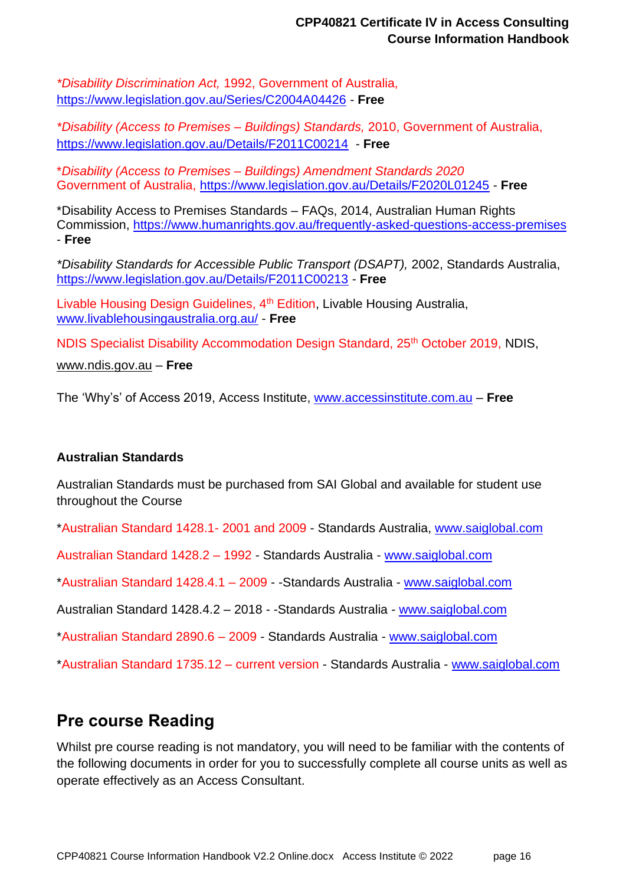*\*Disability Discrimination Act,* 1992, Government of Australia, <https://www.legislation.gov.au/Series/C2004A04426> - **Free**

*\*Disability (Access to Premises – Buildings) Standards,* 2010, Government of Australia, <https://www.legislation.gov.au/Details/F2011C00214> - **Free**

\**Disability (Access to Premises – Buildings) Amendment Standards 2020* Government of Australia,<https://www.legislation.gov.au/Details/F2020L01245> - **Free**

\*Disability Access to Premises Standards – FAQs, 2014, Australian Human Rights Commission,<https://www.humanrights.gov.au/frequently-asked-questions-access-premises> - **Free**

*\*Disability Standards for Accessible Public Transport (DSAPT),* 2002, Standards Australia, <https://www.legislation.gov.au/Details/F2011C00213> - **Free**

Livable Housing Design Guidelines, 4<sup>th</sup> Edition, Livable Housing Australia, [www.livablehousingaustralia.org.au/](http://www.livablehousingaustralia.org.au/) - **Free**

NDIS Specialist Disability Accommodation Design Standard, 25<sup>th</sup> October 2019, NDIS,

[www.ndis.gov.au](http://www.ndis.gov.au/) – **Free**

The 'Why's' of Access 2019, Access Institute, [www.accessinstitute.com.au](http://www.accessinstitute.com.au/) – **Free**

#### **Australian Standards**

Australian Standards must be purchased from SAI Global and available for student use throughout the Course

\*Australian Standard 1428.1- 2001 and 2009 - Standards Australia, [www.saiglobal.com](http://www.saiglobal.com/)

Australian Standard 1428.2 – 1992 - Standards Australia - [www.saiglobal.com](http://www.standards.org.au/)

\*Australian Standard 1428.4.1 – 2009 - -Standards Australia - [www.saiglobal.com](http://www.standards.org.au/)

Australian Standard 1428.4.2 – 2018 - -Standards Australia - [www.saiglobal.com](http://www.saiglobal.com/)

\*Australian Standard 2890.6 – 2009 - Standards Australia - [www.saiglobal.com](http://www.standards.org.au/)

\*Australian Standard 1735.12 – current version - Standards Australia - [www.saiglobal.com](http://www.standards.org.au/)

### <span id="page-15-0"></span>**Pre course Reading**

Whilst pre course reading is not mandatory, you will need to be familiar with the contents of the following documents in order for you to successfully complete all course units as well as operate effectively as an Access Consultant.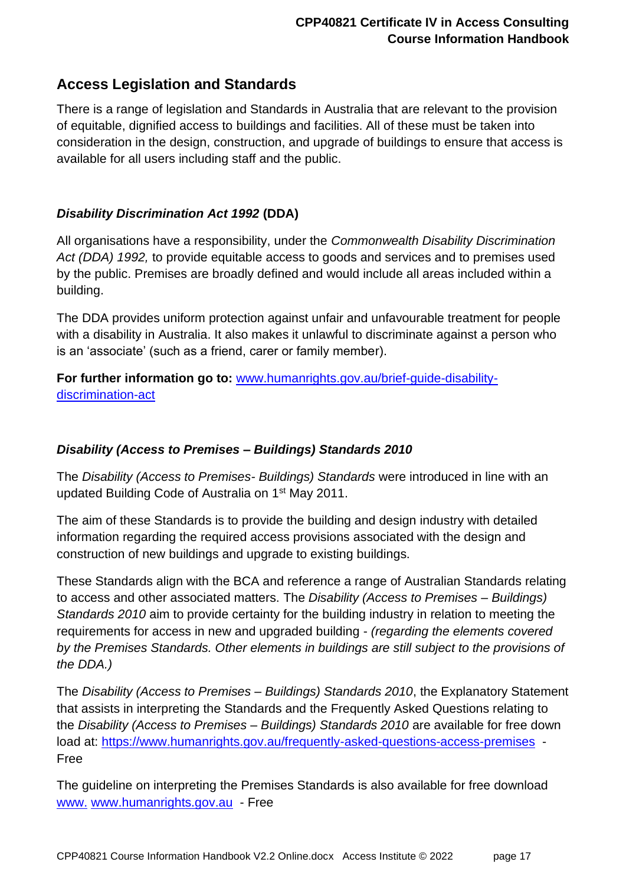### <span id="page-16-0"></span>**Access Legislation and Standards**

There is a range of legislation and Standards in Australia that are relevant to the provision of equitable, dignified access to buildings and facilities. All of these must be taken into consideration in the design, construction, and upgrade of buildings to ensure that access is available for all users including staff and the public.

#### *Disability Discrimination Act 1992* **(DDA)**

All organisations have a responsibility, under the *Commonwealth Disability Discrimination Act (DDA) 1992,* to provide equitable access to goods and services and to premises used by the public. Premises are broadly defined and would include all areas included within a building.

The DDA provides uniform protection against unfair and unfavourable treatment for people with a disability in Australia. It also makes it unlawful to discriminate against a person who is an 'associate' (such as a friend, carer or family member).

**For further information go to:** [www.humanrights.gov.au/brief-guide-disability](http://www.humanrights.gov.au/brief-guide-disability-discrimination-act)[discrimination-act](http://www.humanrights.gov.au/brief-guide-disability-discrimination-act)

#### *Disability (Access to Premises – Buildings) Standards 2010*

The *Disability (Access to Premises- Buildings) Standards* were introduced in line with an updated Building Code of Australia on 1st May 2011.

The aim of these Standards is to provide the building and design industry with detailed information regarding the required access provisions associated with the design and construction of new buildings and upgrade to existing buildings.

These Standards align with the BCA and reference a range of Australian Standards relating to access and other associated matters. The *Disability (Access to Premises – Buildings) Standards 2010* aim to provide certainty for the building industry in relation to meeting the requirements for access in new and upgraded building - *(regarding the elements covered by the Premises Standards. Other elements in buildings are still subject to the provisions of the DDA.)*

The *Disability (Access to Premises – Buildings) Standards 2010*, the Explanatory Statement that assists in interpreting the Standards and the Frequently Asked Questions relating to the *Disability (Access to Premises – Buildings) Standards 2010* are available for free down load at:<https://www.humanrights.gov.au/frequently-asked-questions-access-premises> - Free

The guideline on interpreting the Premises Standards is also available for free download www. [www.humanrights.gov.au](http://www.hreoc.gov.au/) - Free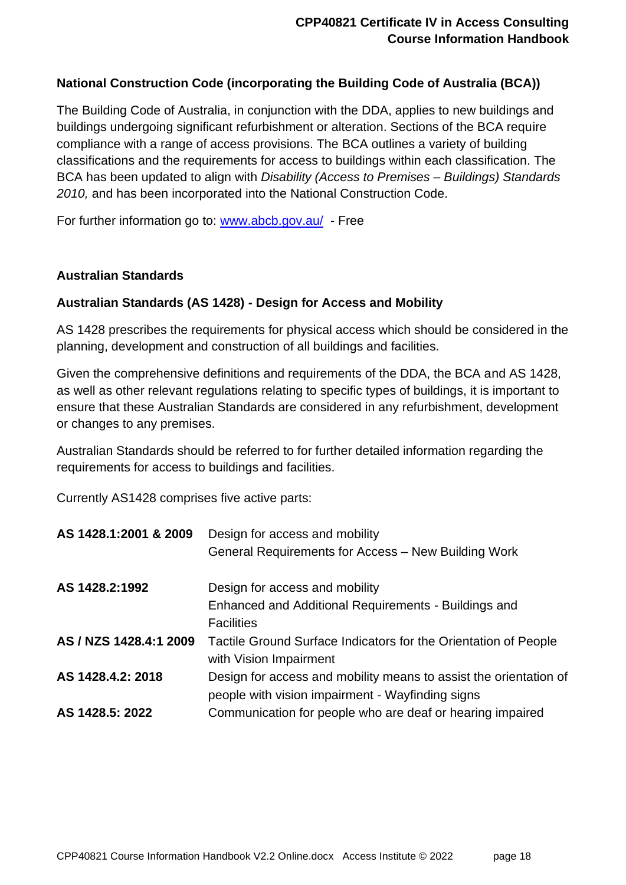#### **National Construction Code (incorporating the Building Code of Australia (BCA))**

The Building Code of Australia, in conjunction with the DDA, applies to new buildings and buildings undergoing significant refurbishment or alteration. Sections of the BCA require compliance with a range of access provisions. The BCA outlines a variety of building classifications and the requirements for access to buildings within each classification. The BCA has been updated to align with *Disability (Access to Premises – Buildings) Standards 2010,* and has been incorporated into the National Construction Code.

For further information go to: [www.abcb.gov.au/](http://www.abcb.gov.au/) - Free

#### **Australian Standards**

#### **Australian Standards (AS 1428) - Design for Access and Mobility**

AS 1428 prescribes the requirements for physical access which should be considered in the planning, development and construction of all buildings and facilities.

Given the comprehensive definitions and requirements of the DDA, the BCA and AS 1428, as well as other relevant regulations relating to specific types of buildings, it is important to ensure that these Australian Standards are considered in any refurbishment, development or changes to any premises.

Australian Standards should be referred to for further detailed information regarding the requirements for access to buildings and facilities.

Currently AS1428 comprises five active parts:

| AS 1428.1:2001 & 2009  | Design for access and mobility                                    |
|------------------------|-------------------------------------------------------------------|
|                        | General Requirements for Access - New Building Work               |
| AS 1428.2:1992         | Design for access and mobility                                    |
|                        | Enhanced and Additional Requirements - Buildings and              |
|                        | <b>Facilities</b>                                                 |
| AS / NZS 1428.4:1 2009 | Tactile Ground Surface Indicators for the Orientation of People   |
|                        | with Vision Impairment                                            |
| AS 1428.4.2: 2018      | Design for access and mobility means to assist the orientation of |
|                        | people with vision impairment - Wayfinding signs                  |
| AS 1428.5: 2022        | Communication for people who are deaf or hearing impaired         |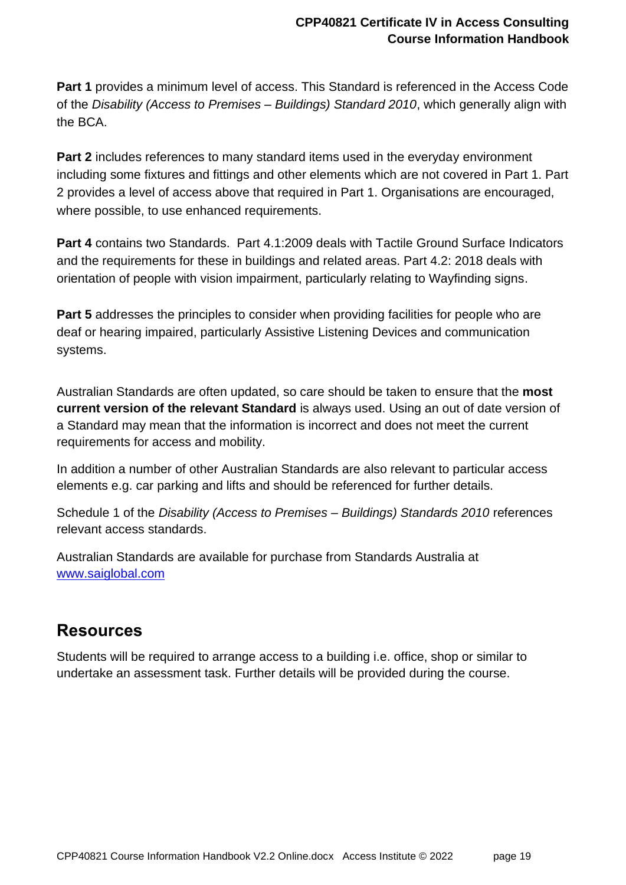**Part 1** provides a minimum level of access. This Standard is referenced in the Access Code of the *Disability (Access to Premises – Buildings) Standard 2010*, which generally align with the BCA.

**Part 2** includes references to many standard items used in the everyday environment including some fixtures and fittings and other elements which are not covered in Part 1. Part 2 provides a level of access above that required in Part 1. Organisations are encouraged, where possible, to use enhanced requirements.

**Part 4** contains two Standards. Part 4.1:2009 deals with Tactile Ground Surface Indicators and the requirements for these in buildings and related areas. Part 4.2: 2018 deals with orientation of people with vision impairment, particularly relating to Wayfinding signs.

**Part 5** addresses the principles to consider when providing facilities for people who are deaf or hearing impaired, particularly Assistive Listening Devices and communication systems.

Australian Standards are often updated, so care should be taken to ensure that the **most current version of the relevant Standard** is always used. Using an out of date version of a Standard may mean that the information is incorrect and does not meet the current requirements for access and mobility.

In addition a number of other Australian Standards are also relevant to particular access elements e.g. car parking and lifts and should be referenced for further details.

Schedule 1 of the *Disability (Access to Premises – Buildings) Standards 2010* references relevant access standards.

Australian Standards are available for purchase from Standards Australia at [www.saiglobal.com](http://www.saiglobal.com/)

## <span id="page-18-0"></span>**Resources**

Students will be required to arrange access to a building i.e. office, shop or similar to undertake an assessment task. Further details will be provided during the course.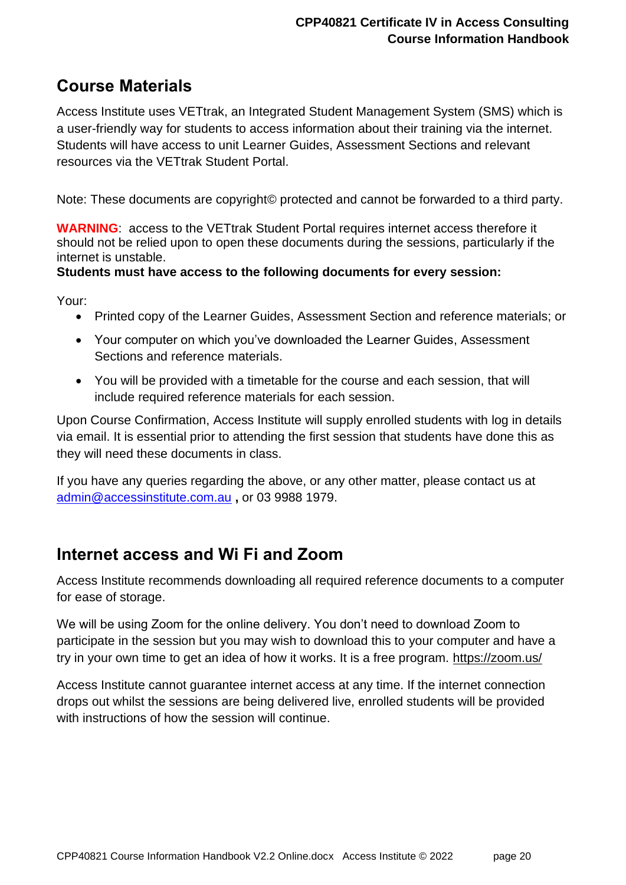### <span id="page-19-0"></span>**Course Materials**

Access Institute uses VETtrak, an Integrated Student Management System (SMS) which is a user-friendly way for students to access information about their training via the internet. Students will have access to unit Learner Guides, Assessment Sections and relevant resources via the VETtrak Student Portal.

Note: These documents are copyright© protected and cannot be forwarded to a third party.

**WARNING**: access to the VETtrak Student Portal requires internet access therefore it should not be relied upon to open these documents during the sessions, particularly if the internet is unstable.

#### **Students must have access to the following documents for every session:**

Your:

- Printed copy of the Learner Guides, Assessment Section and reference materials; or
- Your computer on which you've downloaded the Learner Guides, Assessment Sections and reference materials.
- You will be provided with a timetable for the course and each session, that will include required reference materials for each session.

Upon Course Confirmation, Access Institute will supply enrolled students with log in details via email. It is essential prior to attending the first session that students have done this as they will need these documents in class.

If you have any queries regarding the above, or any other matter, please contact us at [admin@accessinstitute.com.au](mailto:admin@accessinstitute.com.au) **,** or 03 9988 1979.

### <span id="page-19-1"></span>**Internet access and Wi Fi and Zoom**

Access Institute recommends downloading all required reference documents to a computer for ease of storage.

We will be using Zoom for the online delivery. You don't need to download Zoom to participate in the session but you may wish to download this to your computer and have a try in your own time to get an idea of how it works. It is a free program.<https://zoom.us/>

Access Institute cannot guarantee internet access at any time. If the internet connection drops out whilst the sessions are being delivered live, enrolled students will be provided with instructions of how the session will continue.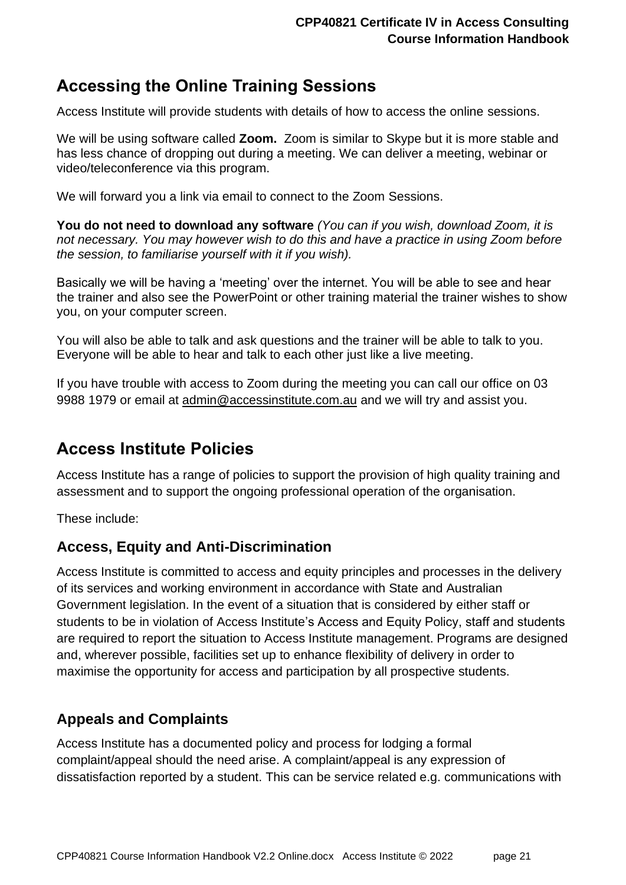## <span id="page-20-0"></span>**Accessing the Online Training Sessions**

Access Institute will provide students with details of how to access the online sessions.

We will be using software called **Zoom.** Zoom is similar to Skype but it is more stable and has less chance of dropping out during a meeting. We can deliver a meeting, webinar or video/teleconference via this program.

We will forward you a link via email to connect to the Zoom Sessions.

**You do not need to download any software** *(You can if you wish, download Zoom, it is not necessary. You may however wish to do this and have a practice in using Zoom before the session, to familiarise yourself with it if you wish).*

Basically we will be having a 'meeting' over the internet. You will be able to see and hear the trainer and also see the PowerPoint or other training material the trainer wishes to show you, on your computer screen.

You will also be able to talk and ask questions and the trainer will be able to talk to you. Everyone will be able to hear and talk to each other just like a live meeting.

If you have trouble with access to Zoom during the meeting you can call our office on 03 9988 1979 or email at [admin@accessinstitute.com.au](mailto:admin@accessinstitute.com.au) and we will try and assist you.

## <span id="page-20-1"></span>**Access Institute Policies**

Access Institute has a range of policies to support the provision of high quality training and assessment and to support the ongoing professional operation of the organisation.

These include:

### <span id="page-20-2"></span>**Access, Equity and Anti-Discrimination**

Access Institute is committed to access and equity principles and processes in the delivery of its services and working environment in accordance with State and Australian Government legislation. In the event of a situation that is considered by either staff or students to be in violation of Access Institute's Access and Equity Policy, staff and students are required to report the situation to Access Institute management. Programs are designed and, wherever possible, facilities set up to enhance flexibility of delivery in order to maximise the opportunity for access and participation by all prospective students.

### <span id="page-20-3"></span>**Appeals and Complaints**

Access Institute has a documented policy and process for lodging a formal complaint/appeal should the need arise. A complaint/appeal is any expression of dissatisfaction reported by a student. This can be service related e.g. communications with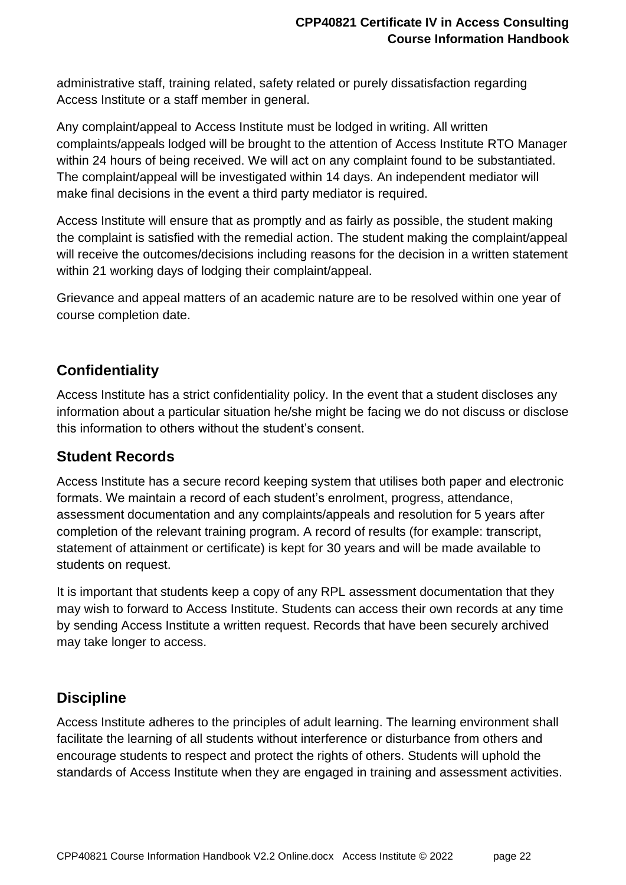administrative staff, training related, safety related or purely dissatisfaction regarding Access Institute or a staff member in general.

Any complaint/appeal to Access Institute must be lodged in writing. All written complaints/appeals lodged will be brought to the attention of Access Institute RTO Manager within 24 hours of being received. We will act on any complaint found to be substantiated. The complaint/appeal will be investigated within 14 days. An independent mediator will make final decisions in the event a third party mediator is required.

Access Institute will ensure that as promptly and as fairly as possible, the student making the complaint is satisfied with the remedial action. The student making the complaint/appeal will receive the outcomes/decisions including reasons for the decision in a written statement within 21 working days of lodging their complaint/appeal.

Grievance and appeal matters of an academic nature are to be resolved within one year of course completion date.

### <span id="page-21-0"></span>**Confidentiality**

Access Institute has a strict confidentiality policy. In the event that a student discloses any information about a particular situation he/she might be facing we do not discuss or disclose this information to others without the student's consent.

### <span id="page-21-1"></span>**Student Records**

Access Institute has a secure record keeping system that utilises both paper and electronic formats. We maintain a record of each student's enrolment, progress, attendance, assessment documentation and any complaints/appeals and resolution for 5 years after completion of the relevant training program. A record of results (for example: transcript, statement of attainment or certificate) is kept for 30 years and will be made available to students on request.

It is important that students keep a copy of any RPL assessment documentation that they may wish to forward to Access Institute. Students can access their own records at any time by sending Access Institute a written request. Records that have been securely archived may take longer to access.

### <span id="page-21-2"></span>**Discipline**

Access Institute adheres to the principles of adult learning. The learning environment shall facilitate the learning of all students without interference or disturbance from others and encourage students to respect and protect the rights of others. Students will uphold the standards of Access Institute when they are engaged in training and assessment activities.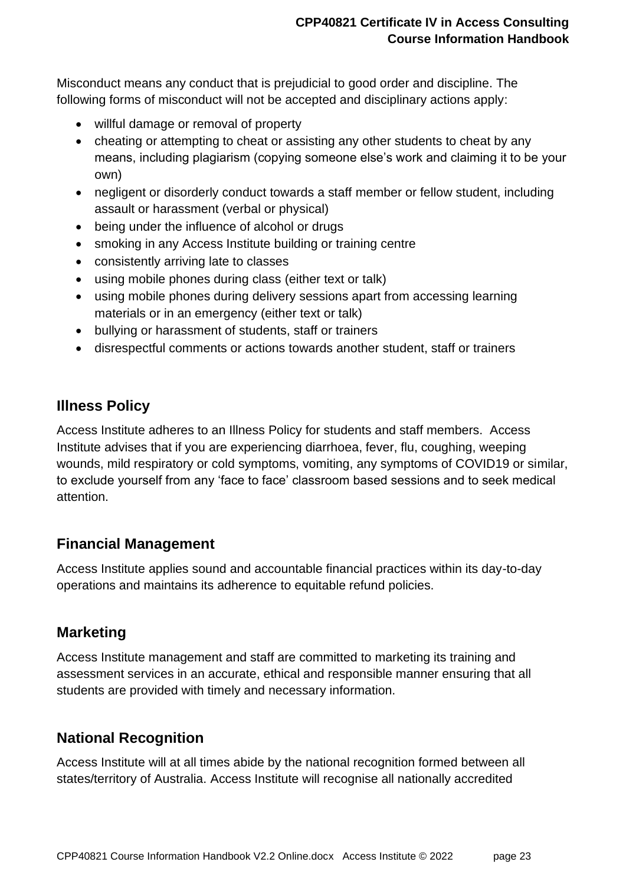Misconduct means any conduct that is prejudicial to good order and discipline. The following forms of misconduct will not be accepted and disciplinary actions apply:

- willful damage or removal of property
- cheating or attempting to cheat or assisting any other students to cheat by any means, including plagiarism (copying someone else's work and claiming it to be your own)
- negligent or disorderly conduct towards a staff member or fellow student, including assault or harassment (verbal or physical)
- being under the influence of alcohol or drugs
- smoking in any Access Institute building or training centre
- consistently arriving late to classes
- using mobile phones during class (either text or talk)
- using mobile phones during delivery sessions apart from accessing learning materials or in an emergency (either text or talk)
- bullying or harassment of students, staff or trainers
- disrespectful comments or actions towards another student, staff or trainers

### <span id="page-22-0"></span>**Illness Policy**

Access Institute adheres to an Illness Policy for students and staff members. Access Institute advises that if you are experiencing diarrhoea, fever, flu, coughing, weeping wounds, mild respiratory or cold symptoms, vomiting, any symptoms of COVID19 or similar, to exclude yourself from any 'face to face' classroom based sessions and to seek medical attention.

### <span id="page-22-1"></span>**Financial Management**

Access Institute applies sound and accountable financial practices within its day-to-day operations and maintains its adherence to equitable refund policies.

### <span id="page-22-2"></span>**Marketing**

Access Institute management and staff are committed to marketing its training and assessment services in an accurate, ethical and responsible manner ensuring that all students are provided with timely and necessary information.

### <span id="page-22-3"></span>**National Recognition**

Access Institute will at all times abide by the national recognition formed between all states/territory of Australia. Access Institute will recognise all nationally accredited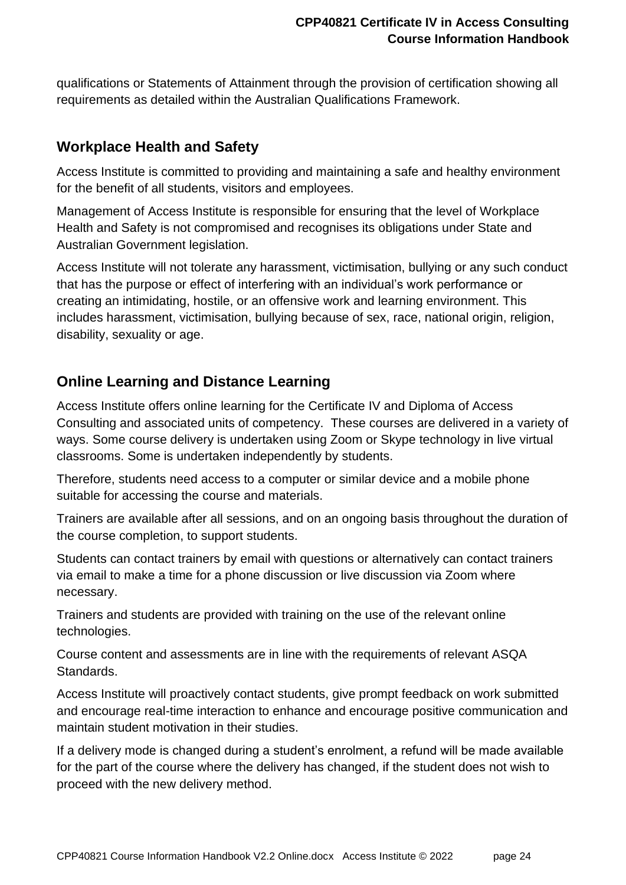qualifications or Statements of Attainment through the provision of certification showing all requirements as detailed within the Australian Qualifications Framework.

### <span id="page-23-0"></span>**Workplace Health and Safety**

Access Institute is committed to providing and maintaining a safe and healthy environment for the benefit of all students, visitors and employees.

Management of Access Institute is responsible for ensuring that the level of Workplace Health and Safety is not compromised and recognises its obligations under State and Australian Government legislation.

Access Institute will not tolerate any harassment, victimisation, bullying or any such conduct that has the purpose or effect of interfering with an individual's work performance or creating an intimidating, hostile, or an offensive work and learning environment. This includes harassment, victimisation, bullying because of sex, race, national origin, religion, disability, sexuality or age.

### <span id="page-23-1"></span>**Online Learning and Distance Learning**

Access Institute offers online learning for the Certificate IV and Diploma of Access Consulting and associated units of competency. These courses are delivered in a variety of ways. Some course delivery is undertaken using Zoom or Skype technology in live virtual classrooms. Some is undertaken independently by students.

Therefore, students need access to a computer or similar device and a mobile phone suitable for accessing the course and materials.

Trainers are available after all sessions, and on an ongoing basis throughout the duration of the course completion, to support students.

Students can contact trainers by email with questions or alternatively can contact trainers via email to make a time for a phone discussion or live discussion via Zoom where necessary.

Trainers and students are provided with training on the use of the relevant online technologies.

Course content and assessments are in line with the requirements of relevant ASQA Standards.

Access Institute will proactively contact students, give prompt feedback on work submitted and encourage real-time interaction to enhance and encourage positive communication and maintain student motivation in their studies.

If a delivery mode is changed during a student's enrolment, a refund will be made available for the part of the course where the delivery has changed, if the student does not wish to proceed with the new delivery method.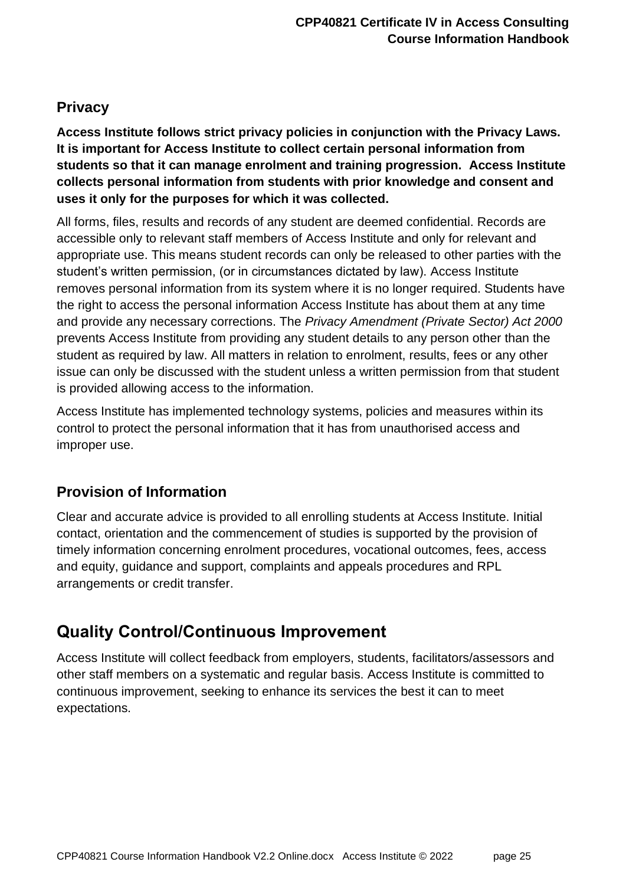### <span id="page-24-0"></span>**Privacy**

**Access Institute follows strict privacy policies in conjunction with the Privacy Laws. It is important for Access Institute to collect certain personal information from students so that it can manage enrolment and training progression. Access Institute collects personal information from students with prior knowledge and consent and uses it only for the purposes for which it was collected.**

All forms, files, results and records of any student are deemed confidential. Records are accessible only to relevant staff members of Access Institute and only for relevant and appropriate use. This means student records can only be released to other parties with the student's written permission, (or in circumstances dictated by law). Access Institute removes personal information from its system where it is no longer required. Students have the right to access the personal information Access Institute has about them at any time and provide any necessary corrections. The *Privacy Amendment (Private Sector) Act 2000*  prevents Access Institute from providing any student details to any person other than the student as required by law. All matters in relation to enrolment, results, fees or any other issue can only be discussed with the student unless a written permission from that student is provided allowing access to the information.

Access Institute has implemented technology systems, policies and measures within its control to protect the personal information that it has from unauthorised access and improper use.

### <span id="page-24-1"></span>**Provision of Information**

Clear and accurate advice is provided to all enrolling students at Access Institute. Initial contact, orientation and the commencement of studies is supported by the provision of timely information concerning enrolment procedures, vocational outcomes, fees, access and equity, guidance and support, complaints and appeals procedures and RPL arrangements or credit transfer.

## <span id="page-24-2"></span>**Quality Control/Continuous Improvement**

Access Institute will collect feedback from employers, students, facilitators/assessors and other staff members on a systematic and regular basis. Access Institute is committed to continuous improvement, seeking to enhance its services the best it can to meet expectations.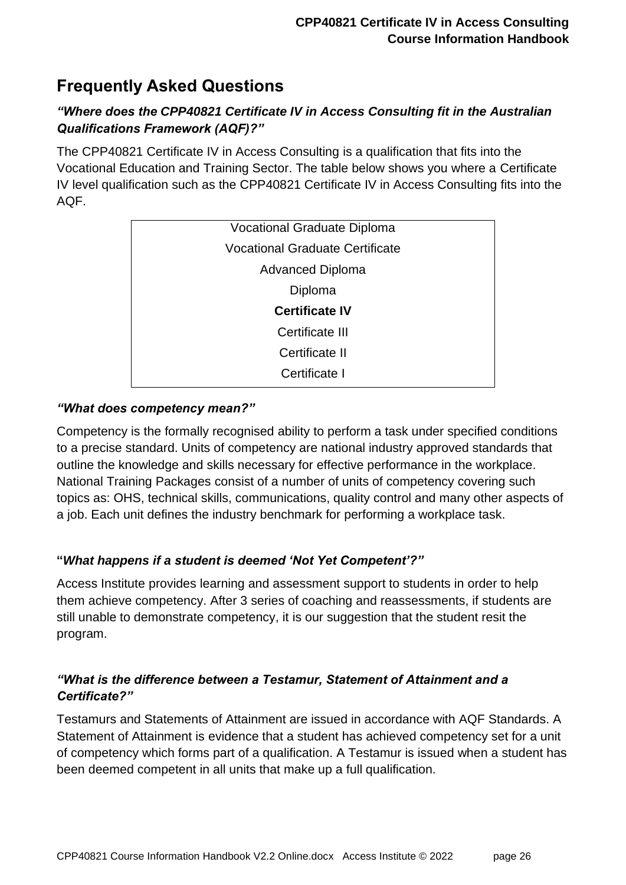## <span id="page-25-0"></span>**Frequently Asked Questions**

#### *"Where does the CPP40821 Certificate IV in Access Consulting fit in the Australian Qualifications Framework (AQF)?"*

The CPP40821 Certificate IV in Access Consulting is a qualification that fits into the Vocational Education and Training Sector. The table below shows you where a Certificate IV level qualification such as the CPP40821 Certificate IV in Access Consulting fits into the AQF.

| <b>Vocational Graduate Diploma</b>     |
|----------------------------------------|
| <b>Vocational Graduate Certificate</b> |
| <b>Advanced Diploma</b>                |
| Diploma                                |
| <b>Certificate IV</b>                  |
| Certificate III                        |
| Certificate II                         |
| Certificate I                          |

#### *"What does competency mean?"*

Competency is the formally recognised ability to perform a task under specified conditions to a precise standard. Units of competency are national industry approved standards that outline the knowledge and skills necessary for effective performance in the workplace. National Training Packages consist of a number of units of competency covering such topics as: OHS, technical skills, communications, quality control and many other aspects of a job. Each unit defines the industry benchmark for performing a workplace task.

#### **"***What happens if a student is deemed 'Not Yet Competent'?"*

Access Institute provides learning and assessment support to students in order to help them achieve competency. After 3 series of coaching and reassessments, if students are still unable to demonstrate competency, it is our suggestion that the student resit the program.

#### *"What is the difference between a Testamur, Statement of Attainment and a Certificate?"*

Testamurs and Statements of Attainment are issued in accordance with AQF Standards. A Statement of Attainment is evidence that a student has achieved competency set for a unit of competency which forms part of a qualification. A Testamur is issued when a student has been deemed competent in all units that make up a full qualification.